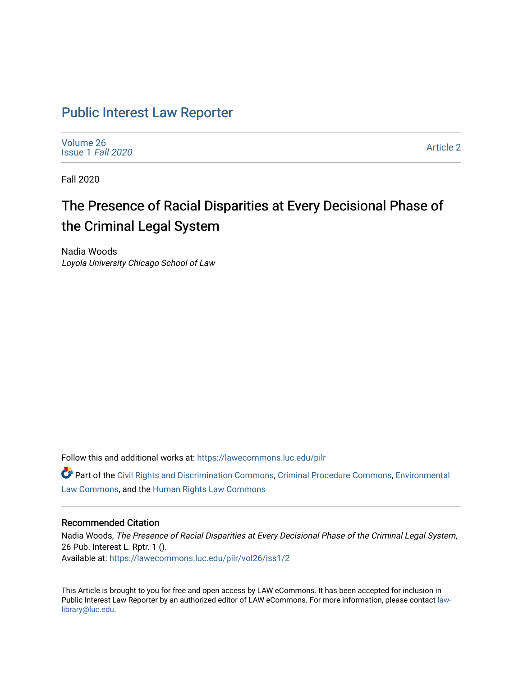## [Public Interest Law Reporter](https://lawecommons.luc.edu/pilr)

[Volume 26](https://lawecommons.luc.edu/pilr/vol26) [Issue 1](https://lawecommons.luc.edu/pilr/vol26/iss1) Fall 2020

[Article 2](https://lawecommons.luc.edu/pilr/vol26/iss1/2) 

Fall 2020

# The Presence of Racial Disparities at Every Decisional Phase of the Criminal Legal System

Nadia Woods Loyola University Chicago School of Law

Follow this and additional works at: [https://lawecommons.luc.edu/pilr](https://lawecommons.luc.edu/pilr?utm_source=lawecommons.luc.edu%2Fpilr%2Fvol26%2Fiss1%2F2&utm_medium=PDF&utm_campaign=PDFCoverPages) 

Part of the [Civil Rights and Discrimination Commons,](http://network.bepress.com/hgg/discipline/585?utm_source=lawecommons.luc.edu%2Fpilr%2Fvol26%2Fiss1%2F2&utm_medium=PDF&utm_campaign=PDFCoverPages) [Criminal Procedure Commons,](http://network.bepress.com/hgg/discipline/1073?utm_source=lawecommons.luc.edu%2Fpilr%2Fvol26%2Fiss1%2F2&utm_medium=PDF&utm_campaign=PDFCoverPages) [Environmental](http://network.bepress.com/hgg/discipline/599?utm_source=lawecommons.luc.edu%2Fpilr%2Fvol26%2Fiss1%2F2&utm_medium=PDF&utm_campaign=PDFCoverPages)  [Law Commons,](http://network.bepress.com/hgg/discipline/599?utm_source=lawecommons.luc.edu%2Fpilr%2Fvol26%2Fiss1%2F2&utm_medium=PDF&utm_campaign=PDFCoverPages) and the [Human Rights Law Commons](http://network.bepress.com/hgg/discipline/847?utm_source=lawecommons.luc.edu%2Fpilr%2Fvol26%2Fiss1%2F2&utm_medium=PDF&utm_campaign=PDFCoverPages)

#### Recommended Citation

Nadia Woods, The Presence of Racial Disparities at Every Decisional Phase of the Criminal Legal System, 26 Pub. Interest L. Rptr. 1 (). Available at: [https://lawecommons.luc.edu/pilr/vol26/iss1/2](https://lawecommons.luc.edu/pilr/vol26/iss1/2?utm_source=lawecommons.luc.edu%2Fpilr%2Fvol26%2Fiss1%2F2&utm_medium=PDF&utm_campaign=PDFCoverPages)

This Article is brought to you for free and open access by LAW eCommons. It has been accepted for inclusion in Public Interest Law Reporter by an authorized editor of LAW eCommons. For more information, please contact [law](mailto:law-library@luc.edu)[library@luc.edu.](mailto:law-library@luc.edu)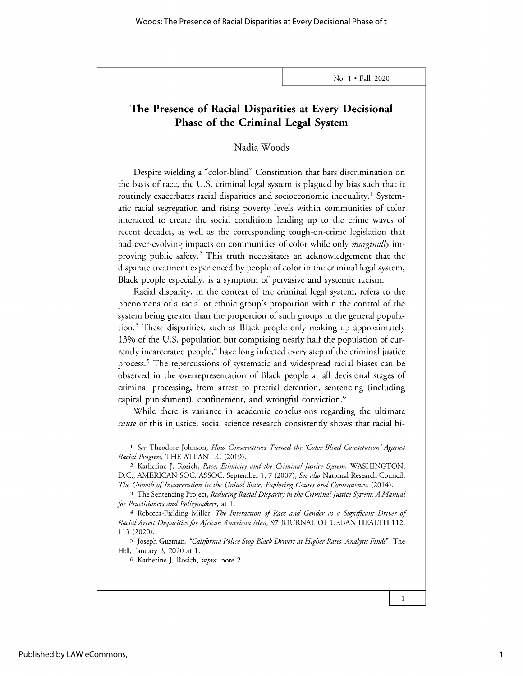### **The Presence of Racial Disparities at Every Decisional Phase of the Criminal Legal System**

Nadia Woods

Despite wielding a "color-blind" Constitution that bars discrimination on the basis of race, the U.S. criminal legal system is plagued by bias such that it routinely exacerbates racial disparities and socioeconomic inequality.<sup>1</sup> Systematic racial segregation and rising poverty levels within communities of color interacted to create the social conditions leading up to the crime waves of recent decades, as well as the corresponding tough-on-crime legislation that had ever-evolving impacts on communities of color while only *marginally* improving public safety.<sup>2</sup>This truth necessitates an acknowledgement that the disparate treatment experienced by people of color in the criminal legal system, Black people especially, is a symptom of pervasive and systemic racism.

Racial disparity, in the context of the criminal legal system, refers to the phenomena of a racial or ethnic group's proportion within the control of the system being greater than the proportion of such groups in the general population. $3$  These disparities, such as Black people only making up approximately 13% of the U.S. population but comprising nearly half the population of currently incarcerated people,<sup>4</sup> have long infected every step of the criminal justice process.<sup>5</sup> The repercussions of systematic and widespread racial biases can be observed in the overrepresentation of Black people at all decisional stages of criminal processing, from arrest to pretrial detention, sentencing (including capital punishment), confinement, and wrongful conviction.'

While there is variance in academic conclusions regarding the ultimate *cause* of this injustice, social science research consistently shows that racial bi-

5 Joseph Guzman, *"California Police Stop Black Drivers at Higher Rates, Analysis Finds",* The Hill, January 3, 2020 at 1.

<sup>6</sup>Katherine J. Rosich, *supra,* note 2.

<sup>1</sup> *See* Theodore Johnson, *How Conservatives Turned the 'Color-Blind Constitution' Against Racial Progress,* THE ATLANTIC (2019).

<sup>2</sup>Katherine J. Rosich, *Race, Ethnicity and the Criminal Justice System,* WASHINGTON, D.C., AMERICAN SOC. ASSOC. September 1, 7 (2007); *See also* National Research Council, *The Growth of Incarceration in the United State: Exploring Causes and Consequences* (2014).

**<sup>3</sup>**The Sentencing Project, *Reducing Racial Disparity in the Criminal justice System: A Manual for Practitioners and Policymakers,* at 1.

<sup>4</sup> Rebecca-Fielding Miller, *The Interaction of Race and Gender as a Significant Driver of RacialArrest Disparities for African American Men, 97* JOURNAL OF URBAN HEALTH 112, 113 (2020).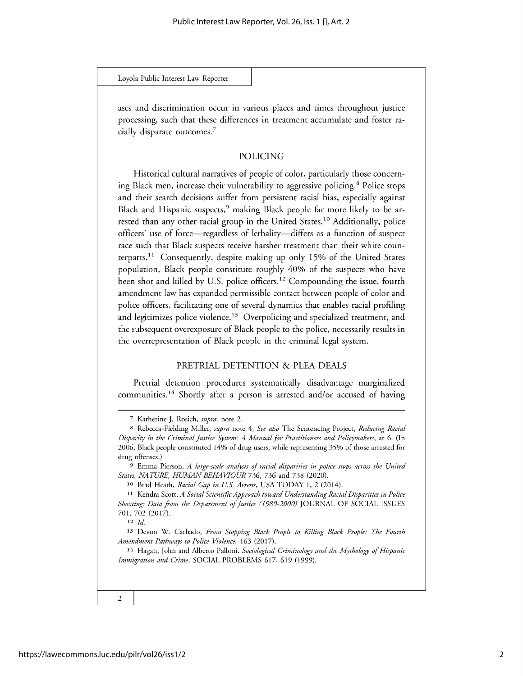Loyola Public **Interest** Law Reporter

ases and discrimination occur in various places and times throughout justice processing, such that these differences in treatment accumulate and foster racially disparate outcomes. <sup>7</sup>

#### POLICING

Historical cultural narratives of people of color, particularly those concerning Black men, increase their vulnerability to aggressive policing.<sup>8</sup> Police stops and their search decisions suffer from persistent racial bias, especially against Black and Hispanic suspects,<sup>9</sup> making Black people far more likely to be arrested than any other racial group in the United States.<sup>10</sup> Additionally, police officers' use of force—regardless of lethality—differs as a function of suspect race such that Black suspects receive harsher treatment than their white counterparts.<sup>11</sup> Consequently, despite making up only 15% of the United States population, Black people constitute roughly 40% of the suspects who have been shot and killed by U.S. police officers.<sup>12</sup> Compounding the issue, fourth amendment law has expanded permissible contact between people of color and police officers, facilitating one of several dynamics that enables racial profiling and legitimizes police violence.<sup>13</sup> Overpolicing and specialized treatment, and the subsequent overexposure of Black people to the police, necessarily results in the overrepresentation of Black people in the criminal legal system.

#### PRETRIAL DETENTION & PLEA DEALS

Pretrial detention procedures systematically disadvantage marginalized communities.14 Shortly after a person is arrested and/or accused of having

9 Emma Pierson, *A large-scale analysis of racial disparities in police stops across the United States, NATURE, HUMAN BEHAVIOUR 736,* 736 and 738 (2020).

**<sup>12</sup>***Id*

 $\overline{2}$ 

<sup>7</sup> Katherine J. Rosich, *supra,* note 2.

**<sup>8</sup>**Rebecca-Fielding Miller, *supra* note 4; *See also* The Sentencing Project, *Reducing Racial Disparity in the Criminal Justice System: A Manual for Practitioners and Policymakers,* at 6. (In 2006, Black people constituted 14% of drug users, while representing 35% of those arrested for drug offenses.)

**<sup>10</sup>**Brad Heath, *Racial Gap in U.S. Arrests,* USA TODAY 1, 2 (2014).

**<sup>11</sup>**Kendra Scott, *A Social Scientific Approach toward Understanding Racial Disparities in Police Shooting: Data from the Department of Justice (1980-2000)* JOURNAL OF SOCIAL ISSUES 701, 702 (2017).

**<sup>13</sup>**Devon W. Carbado, *From Stopping Black People to Killing Black People: The Fourth Amendment Pathways to Police Violence,* 163 (2017).

**<sup>14</sup>**Hagan, John and Alberto Palloni. *Sociological Criminology and the Mythology of Hispanic Immigration and Crime.* SOCIAL PROBLEMS 617, 619 *(1999).*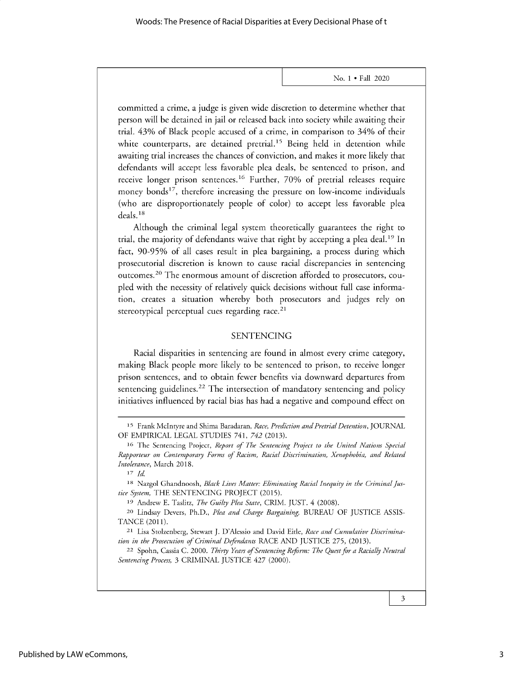committed a crime, a judge is given wide discretion to determine whether that person will be detained in jail or released back into society while awaiting their trial. 43% of Black people accused of a crime, in comparison to 34% of their white counterparts, are detained pretrial.<sup>15</sup> Being held in detention while awaiting trial increases the chances of conviction, and makes it more likely that defendants will accept less favorable plea deals, be sentenced to prison, and receive longer prison sentences.<sup>16</sup> Further, 70% of pretrial releases require money bonds<sup>17</sup>, therefore increasing the pressure on low-income individuals (who are disproportionately people of color) to accept less favorable plea deals. **<sup>18</sup>**

Although the criminal legal system theoretically guarantees the right to trial, the majority of defendants waive that right by accepting a plea deal.19 In fact, *90-95%* of all cases result in plea bargaining, a process during which prosecutorial discretion is known to cause racial discrepancies in sentencing outcomes.<sup>20</sup> The enormous amount of discretion afforded to prosecutors, coupled with the necessity of relatively quick decisions without full case information, creates a situation whereby both prosecutors and judges rely on stereotypical perceptual cues regarding race. $21$ 

#### SENTENCING

Racial disparities in sentencing are found in almost every crime category, making Black people more likely to be sentenced to prison, to receive longer prison sentences, and to obtain fewer benefits via downward departures from sentencing guidelines.<sup>22</sup> The intersection of mandatory sentencing and policy initiatives influenced by racial bias has had a negative and compound effect on

*17 Id*

**<sup>15</sup>**Frank McIntyre and Shima Baradaran, *Race, Prediction and Pretrial Detention,* JOURNAL OF EMPIRICAL LEGAL STUDIES *741, 742* (2013).

**<sup>16</sup>**The Sentencing Project, *Report of The Sentencing Project to the United Nations Special Rapporteur on Contemporary Forms of Racism, Racial Discrimination, Xenophobia, and Related Intolerance,* March 2018.

**<sup>18</sup>** Nazgol Ghandnoosh, *Black Lives Matter: Eliminating Racial Inequity in the Criminal Justice System,* THE SENTENCING PROJECT (2015).

**<sup>19</sup>** Andrew E. Taslitz, *The Guilty Plea State,* CRIM. JUST. 4 (2008).

**<sup>20</sup>** Lindsay Devers, Ph.D., *Plea and Charge Bargaining,* BUREAU OF JUSTICE ASSIS-TANCE (2011).

**<sup>21</sup>** Lisa Stolzenberg, Stewart J. D'Alessio and David Eitle, *Race and Cumulative Discrimination in the Prosecution of Criminal Defendants* RACE AND JUSTICE 275, (2013).

**<sup>22</sup>**Spohn, Cassia C. 2000. *Thirty Years of Sentencing Reform: The Quest for a Racially Neutral Sentencing Process,* 3 CRIMINAL JUSTICE 427 (2000).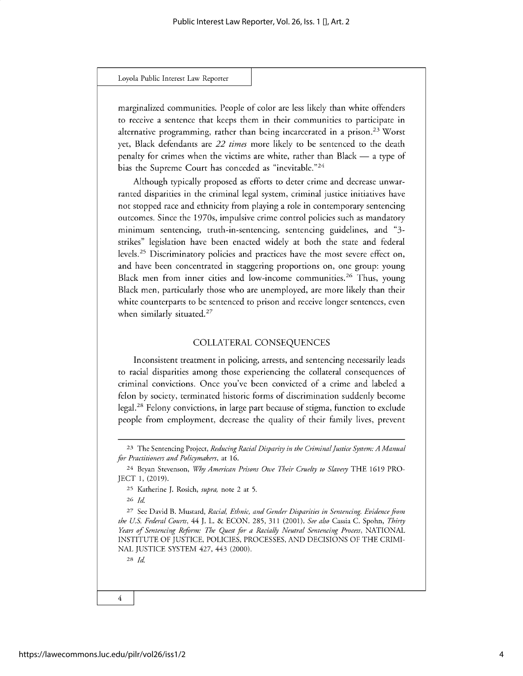#### Loyola Public **Interest** Law Reporter

marginalized communities. People of color are less likely than white offenders to receive a sentence that keeps them in their communities to participate in alternative programming, rather than being incarcerated in a prison.<sup>23</sup> Worst yet, Black defendants are *22 times* more likely to be sentenced to the death penalty for crimes when the victims are white, rather than Black  $-$  a type of bias the Supreme Court has conceded as "inevitable."<sup>24</sup>

Although typically proposed as efforts to deter crime and decrease unwarranted disparities in the criminal legal system, criminal justice initiatives have not stopped race and ethnicity from playing a role in contemporary sentencing outcomes. Since the 1970s, impulsive crime control policies such as mandatory minimum sentencing, truth-in-sentencing, sentencing guidelines, and "3 strikes" legislation have been enacted widely at both the state and federal levels.<sup>25</sup> Discriminatory policies and practices have the most severe effect on, and have been concentrated in staggering proportions on, one group: young Black men from inner cities and low-income communities.<sup>26</sup> Thus, young Black men, particularly those who are unemployed, are more likely than their white counterparts to be sentenced to prison and receive longer sentences, even when similarly situated. $27$ 

#### COLLATERAL CONSEQUENCES

Inconsistent treatment in policing, arrests, and sentencing necessarily leads to racial disparities among those experiencing the collateral consequences of criminal convictions. Once you've been convicted of a crime and labeled a felon by society, terminated historic forms of discrimination suddenly become legal.<sup>28</sup> Felony convictions, in large part because of stigma, function to exclude people from employment, decrease the quality of their family lives, prevent

<sup>26</sup>*Id*

28 *Id*

 $\overline{4}$ 

**<sup>23</sup>**The Sentencing Project, *Reducing Racial Disparity in the Criminal justice System: A Manual for Practitioners and Policymakers,* at 16.

<sup>24</sup> Bryan Stevenson, *Why American Prisons Owe Their Cruelty to Slavery* THE 1619 PRO-JECT 1, (2019).

<sup>25</sup> Katherine J. Rosich, *supra,* note 2 at 5.

<sup>27</sup> See David B. Mustard, *Racial, Ethnic, and Gender Disparities in Sentencing. Evidence from the U.S. Federal Courts,* 44 J. L. & ECON. 285, 311 (2001). *See also* Cassia C. Spohn, *Thirty Years of Sentencing Reform: The Quest for a Racially Neutral Sentencing Process,* NATIONAL INSTITUTE OF JUSTICE, POLICIES, PROCESSES, AND DECISIONS OF THE CRIMI-NAL JUSTICE SYSTEM 427, 443 (2000).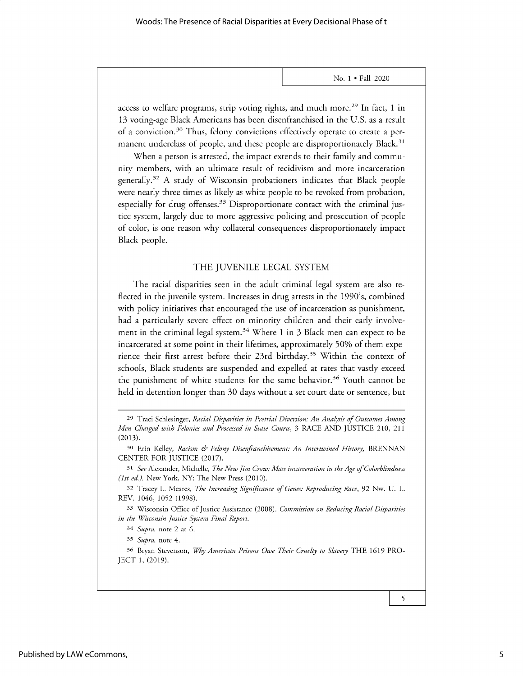access to welfare programs, strip voting rights, and much more.<sup>29</sup> In fact, 1 in 13 voting-age Black Americans has been disenfranchised in the U.S. as a result of a conviction.<sup>30</sup> Thus, felony convictions effectively operate to create a permanent underclass of people, and these people are disproportionately Black.<sup>31</sup>

When a person is arrested, the impact extends to their family and community members, with an ultimate result of recidivism and more incarceration generally. <sup>32</sup>A study of Wisconsin probationers indicates that Black people were nearly three times as likely as white people to be revoked from probation, especially for drug offenses. $33$  Disproportionate contact with the criminal justice system, largely due to more aggressive policing and prosecution of people of color, is one reason why collateral consequences disproportionately impact Black people.

#### THE JUVENILE LEGAL SYSTEM

The racial disparities seen in the adult criminal legal system are also reflected in the juvenile system. Increases in drug arrests in the 1990's, combined with policy initiatives that encouraged the use of incarceration as punishment, had a particularly severe effect on minority children and their early involvement in the criminal legal system.<sup>34</sup> Where 1 in 3 Black men can expect to be incarcerated at some point in their lifetimes, approximately *50%* of them experience their first arrest before their 23rd birthday.<sup>35</sup> Within the context of schools, Black students are suspended and expelled at rates that vastly exceed the punishment of white students for the same behavior.<sup>36</sup> Youth cannot be held in detention longer than 30 days without a set court date or sentence, but

33 Wisconsin Office of Justice Assistance (2008). *Commission on Reducing Racial Disparities in the Wisconsin Justice System Final Report.*

5

**<sup>29</sup>**Traci Schlesinger, *Racial Disparities in Pretrial Diversion: An Analysis of Outcomes Among Men Charged with Felonies and Processed in State Courts,* 3 RACE AND JUSTICE 210, 211 (2013).

**<sup>30</sup>** Erin Kelley, *Racism & Felony Disenfranchisement: An Intertwined History,* BRENNAN CENTER FOR JUSTICE (2017).

*<sup>31</sup>See* Alexander, Michelle, *The New Jim Crow: Mass incarceration in the Age of Colorblindness (1st ed.).* New York, NY: The New Press (2010).

**<sup>32</sup>**Tracey L. Meares, *The Increasing Significance of Genes: Reproducing Race,* 92 Nw. U. L. REV. 1046, 1052 (1998).

<sup>34</sup> *Supra,* note 2 at 6.

<sup>35</sup> *Supra,* note 4.

**<sup>36</sup>** Bryan Stevenson, *Why American Prisons Owe Their Cruelty to Slavery* THE 1619 PRO-JECT 1, (2019).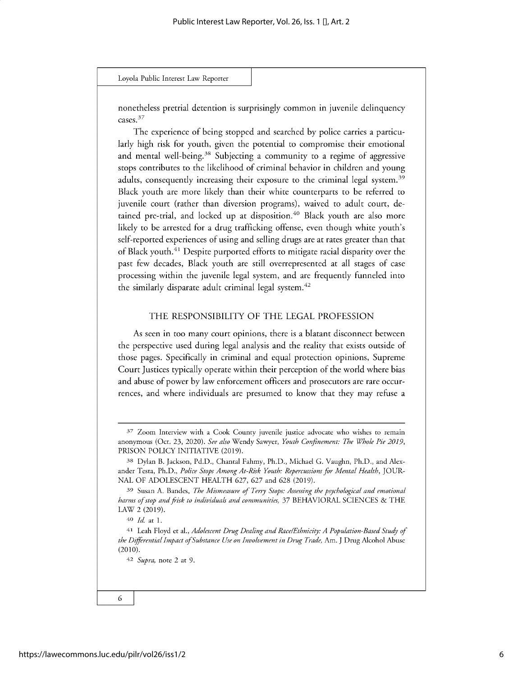Loyola Public **Interest** Law Reporter

nonetheless pretrial detention is surprisingly common in juvenile delinquency cases. <sup>37</sup>

The experience of being stopped and searched by police carries a particularly high risk for youth, given the potential to compromise their emotional and mental well-being.<sup>38</sup> Subjecting a community to a regime of aggressive stops contributes to the likelihood of criminal behavior in children and young adults, consequently increasing their exposure to the criminal legal system.<sup>39</sup> Black youth are more likely than their white counterparts to be referred to juvenile court (rather than diversion programs), waived to adult court, detained pre-trial, and locked up at disposition.<sup>40</sup> Black youth are also more likely to be arrested for a drug trafficking offense, even though white youth's self-reported experiences of using and selling drugs are at rates greater than that of Black youth.<sup>41</sup> Despite purported efforts to mitigate racial disparity over the past few decades, Black youth are still overrepresented at all stages of case processing within the juvenile legal system, and are frequently funneled into the similarly disparate adult criminal legal system.<sup>42</sup>

#### THE RESPONSIBILITY OF THE LEGAL PROFESSION

As seen in too many court opinions, there is a blatant disconnect between the perspective used during legal analysis and the reality that exists outside of those pages. Specifically in criminal and equal protection opinions, Supreme Court Justices typically operate within their perception of the world where bias and abuse of power by law enforcement officers and prosecutors are rare occurrences, and where individuals are presumed to know that they may refuse a

**<sup>37</sup>** Zoom Interview with a Cook County juvenile justice advocate who wishes to remain anonymous (Oct. 23, 2020). *See also* Wendy Sawyer, *Youth Confinement: The Whole Pie 2019,* PRISON POLICY INITIATIVE (2019).

**<sup>38</sup>** Dylan B. Jackson, Pd.D., Chantal Fahmy, Ph.D., Michael G. Vaughn, Ph.D., and Alexander Testa, Ph.D., *Police Stops Among At-Risk Youth: Repercussions for Mental Health,* JOUR-NAL OF ADOLESCENT HEALTH 627, 627 and 628 (2019).

**<sup>39</sup>**Susan A. Bandes, *The Mismeasure of Terry Stops: Assessing the psychological and emotional harms ofstop and frisk to individuals and communities,* 37 BEHAVIORAL SCIENCES & THE LAW 2 (2019).

**<sup>40</sup>***Id* at 1.

**<sup>41</sup>**Leah Floyd et al., *Adolescent Drug Dealing and Race/Ethnicity: A Population-Based Study of the Differential Impact of Substance Use on Involvement in Drug Trade,* Am. J Drug Alcohol Abuse (2010).

*<sup>42</sup> Supra,* note 2 at 9.